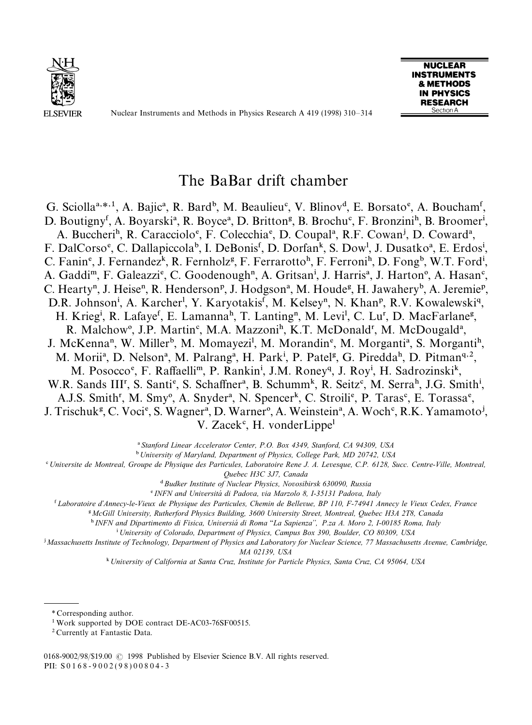

Nuclear Instruments and Methods in Physics Research A 419 (1998) 310*—*314



# The BaBar drift chamber

G. Sciolla<sup>a,\*,1</sup>, A. Bajic<sup>a</sup>, R. Bard<sup>b</sup>, M. Beaulieu<sup>c</sup>, V. Blinov<sup>d</sup>, E. Borsato<sup>e</sup>, A. Boucham<sup>f</sup>, D. Boutigny<sup>f</sup>, A. Boyarski<sup>a</sup>, R. Boyce<sup>a</sup>, D. Britton<sup>g</sup>, B. Brochu<sup>c</sup>, F. Bronzini<sup>h</sup>, B. Broomer<sup>i</sup>, A. Buccheri<sup>h</sup>, R. Caracciolo<sup>e</sup>, F. Colecchia<sup>e</sup>, D. Coupal<sup>a</sup>, R.F. Cowan<sup>j</sup>, D. Coward<sup>a</sup>, F. DalCorso<sup>e</sup>, C. Dallapiccola<sup>b</sup>, I. DeBonis<sup>f</sup>, D. Dorfan<sup>k</sup>, S. Dow<sup>1</sup>, J. Dusatko<sup>a</sup>, E. Erdos<sup>i</sup>, C. Fanin<sup>e</sup>, J. Fernandez<sup>k</sup>, R. Fernholz<sup>g</sup>, F. Ferrarotto<sup>h</sup>, F. Ferroni<sup>h</sup>, D. Fong<sup>b</sup>, W.T. Ford<sup>i</sup>, A. Gaddi<sup>m</sup>, F. Galeazzi<sup>e</sup>, C. Goodenough<sup>n</sup>, A. Gritsan<sup>i</sup>, J. Harris<sup>a</sup>, J. Harton<sup>o</sup>, A. Hasan<sup>c</sup>, C. Hearty<sup>n</sup>, J. Heise<sup>n</sup>, R. Henderson<sup>p</sup>, J. Hodgson<sup>a</sup>, M. Houde<sup>g</sup>, H. Jawahery<sup>b</sup>, A. Jeremie<sup>p</sup>, D.R. Johnson<sup>i</sup>, A. Karcher<sup>1</sup>, Y. Karyotakis<sup>f</sup>, M. Kelsey<sup>n</sup>, N. Khan<sup>p</sup>, R.V. Kowalewski<sup>q</sup>, H. Krieg<sup>i</sup>, R. Lafaye<sup>f</sup>, E. Lamanna<sup>h</sup>, T. Lanting<sup>n</sup>, M. Levi<sup>1</sup>, C. Lu<sup>r</sup>, D. MacFarlane<sup>g</sup>, R. Malchow<sup>o</sup>, J.P. Martin<sup>c</sup>, M.A. Mazzoni<sup>h</sup>, K.T. McDonald<sup>r</sup>, M. McDougald<sup>a</sup>, J. McKenna<sup>n</sup>, W. Miller<sup>b</sup>, M. Momayezi<sup>1</sup>, M. Morandin<sup>e</sup>, M. Morganti<sup>a</sup>, S. Morganti<sup>h</sup>, M. Morii<sup>a</sup>, D. Nelson<sup>a</sup>, M. Palrang<sup>a</sup>, H. Park<sup>i</sup>, P. Patel<sup>g</sup>, G. Piredda<sup>h</sup>, D. Pitman<sup>q, 2</sup>, M. Posocco<sup>e</sup>, F. Raffaelli<sup>m</sup>, P. Rankin<sup>i</sup>, J.M. Roney<sup>q</sup>, J. Roy<sup>i</sup>, H. Sadrozinski<sup>k</sup>, W.R. Sands III<sup>r</sup>, S. Santi<sup>e</sup>, S. Schaffner<sup>a</sup>, B. Schumm<sup>k</sup>, R. Seitz<sup>e</sup>, M. Serra<sup>h</sup>, J.G. Smith<sup>i</sup>, A.J.S. Smith<sup>r</sup>, M. Smy<sup>o</sup>, A. Snyder<sup>a</sup>, N. Spencer<sup>k</sup>, C. Stroili<sup>e</sup>, P. Taras<sup>c</sup>, E. Torassa<sup>e</sup>, J. Trischuk<sup>g</sup>, C. Voci<sup>e</sup>, S. Wagner<sup>a</sup>, D. Warner<sup>o</sup>, A. Weinstein<sup>a</sup>, A. Woch<sup>c</sup>, R.K. Yamamoto<sup>j</sup>,  $V. Zacek<sup>c</sup>, H. vonderLippe<sup>1</sup>$ 

! *Stanford Linear Accelerator Center, P.O. Box 4349, Stanford, CA 94309, USA*

" *University of Maryland, Department of Physics, College Park, MD 20742, USA*

# *Universite de Montreal, Groupe de Physique des Particules, Laboratoire Rene J. A. Levesque, C.P. 6128, Succ. Centre-Ville, Montreal, Quebec H3C 3J7, Canada*

\$ *Budker Institute of Nuclear Physics, Novosibirsk 630090, Russia*

% *INFN and Universita*& *di Padova, via Marzolo 8, I-35131 Padova, Italy*

& *Laboratoire d*+*Annecy-le-Vieux de Physique des Particules, Chemin de Bellevue, BP 110, F-74941 Annecy le Vieux Cedex, France*

' *McGill University, Rutherford Physics Building, 3600 University Street, Montreal, Quebec H3A 2T8, Canada*

)*INFN and Dipartimento di Fisica, Universia*& *di Roma* ''*La Sapienza*++*, P.za A. Moro 2, I-00185 Roma, Italy*

\* *University of Colorado, Department of Physics, Campus Box 390, Boulder, CO 80309, USA*

+ *Massachusetts Institute of Technology, Department of Physics and Laboratory for Nuclear Science, 77 Massachusetts Avenue, Cambridge, MA 02139, USA*

, *University of California at Santa Cruz, Institute for Particle Physics, Santa Cruz, CA 95064, USA*

*\** Corresponding author.

<sup>&</sup>lt;sup>1</sup> Work supported by DOE contract DE-AC03-76SF00515.

<sup>2</sup> Currently at Fantastic Data.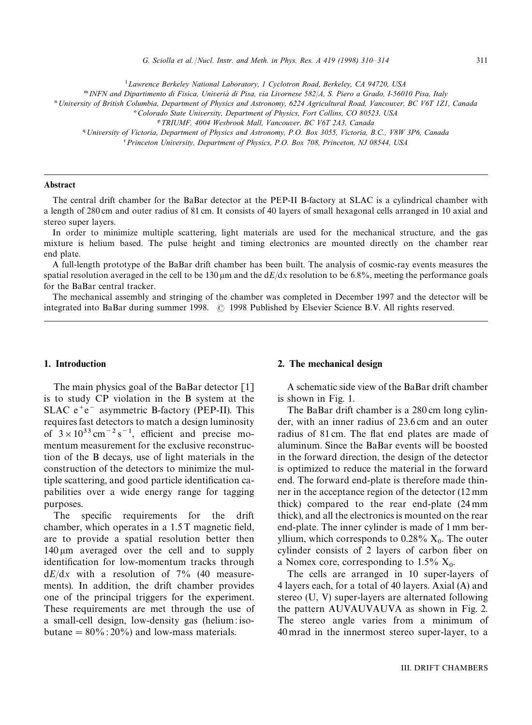<sup>1</sup> Lawrence Berkeley National Laboratory, 1 Cyclotron Road, Berkeley, CA 94720, USA

. *INFN and Dipartimento di Fisica, Univeria*& *di Pisa, via Livornese 582*/*A, S. Piero a Grado, I-56010 Pisa, Italy*

/ *University of British Columbia, Department of Physics and Astronomy, 6224 Agricultural Road, Vancouver, BC V6T 1Z1, Canada*

0*Colorado State University, Department of Physics, Fort Collins, CO 80523, USA*

2 *University of Victoria, Department of Physics and Astronomy, P.O. Box 3055, Victoria, B.C., V8W 3P6, Canada*

3 *Princeton University, Department of Physics, P.O. Box 708, Princeton, NJ 08544, USA*

#### Abstract

The central drift chamber for the BaBar detector at the PEP-II B-factory at SLAC is a cylindrical chamber with a length of 280 cm and outer radius of 81 cm. It consists of 40 layers of small hexagonal cells arranged in 10 axial and stereo super layers.

In order to minimize multiple scattering, light materials are used for the mechanical structure, and the gas mixture is helium based. The pulse height and timing electronics are mounted directly on the chamber rear end plate.

A full-length prototype of the BaBar drift chamber has been built. The analysis of cosmic-ray events measures the spatial resolution averaged in the cell to be 130  $\mu$ m and the d*E*/dx resolution to be 6.8%, meeting the performance goals for the BaBar central tracker.

The mechanical assembly and stringing of the chamber was completed in December 1997 and the detector will be integrated into BaBar during summer 1998.  $\odot$  1998 Published by Elsevier Science B.V. All rights reserved.

## 1. Introduction

The main physics goal of the BaBar detector [1] is to study CP violation in the B system at the SLAC  $e^+e^-$  asymmetric B-factory (PEP-II). This requires fast detectors to match a design luminosity of  $3 \times 10^{33}$  cm<sup>-2</sup> s<sup>-1</sup>, efficient and precise momentum measurement for the exclusive reconstruction of the B decays, use of light materials in the construction of the detectors to minimize the multiple scattering, and good particle identification capabilities over a wide energy range for tagging purposes.

The specific requirements for the drift chamber, which operates in a 1.5 T magnetic field, are to provide a spatial resolution better then 140 lm averaged over the cell and to supply identification for low-momentum tracks through  $dE/dx$  with a resolution of  $7\%$  (40 measurements). In addition, the drift chamber provides one of the principal triggers for the experiment. These requirements are met through the use of a small-cell design, low-density gas (helium : isobutane  $= 80\% : 20\%$  and low-mass materials.

## 2. The mechanical design

A schematic side view of the BaBar drift chamber is shown in Fig. 1.

The BaBar drift chamber is a 280 cm long cylinder, with an inner radius of 23.6 cm and an outer radius of 81 cm. The flat end plates are made of aluminum. Since the BaBar events will be boosted in the forward direction, the design of the detector is optimized to reduce the material in the forward end. The forward end-plate is therefore made thinner in the acceptance region of the detector (12 mm thick) compared to the rear end-plate (24 mm thick), and all the electronics is mounted on the rear end-plate. The inner cylinder is made of 1 mm beryllium, which corresponds to  $0.28\%$   $X_0$ . The outer cylinder consists of 2 layers of carbon fiber on a Nomex core, corresponding to  $1.5\%$   $X_0$ .

The cells are arranged in 10 super-layers of 4 layers each, for a total of 40 layers. Axial (A) and stereo (U, V) super-layers are alternated following the pattern AUVAUVAUVA as shown in Fig. 2. The stereo angle varies from a minimum of 40 mrad in the innermost stereo super-layer, to a

<sup>1</sup> *TRIUMF, 4004 Wesbrook Mall, Vancouver, BC V6T 2A3, Canada*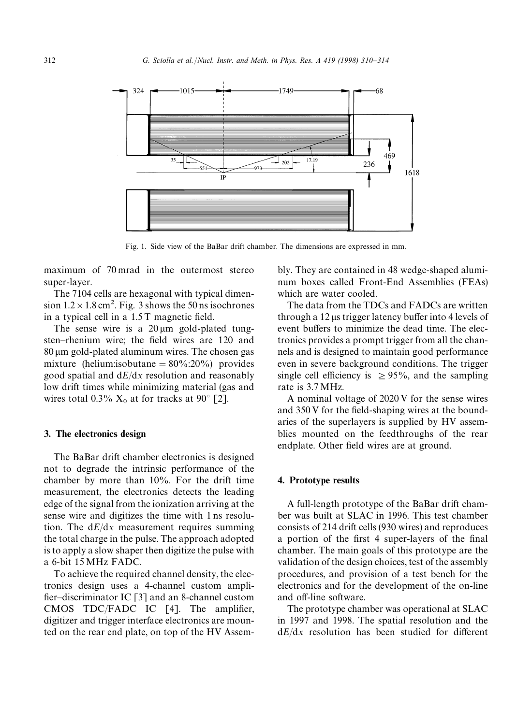

Fig. 1. Side view of the BaBar drift chamber. The dimensions are expressed in mm.

maximum of 70 mrad in the outermost stereo super-layer.

The 7104 cells are hexagonal with typical dimension  $1.2 \times 1.8$  cm<sup>2</sup>. Fig. 3 shows the 50 ns isochrones in a typical cell in a 1.5 T magnetic field.

The sense wire is a  $20 \mu m$  gold-plated tungsten*—*rhenium wire; the field wires are 120 and  $80 \mu m$  gold-plated aluminum wires. The chosen gas mixture (helium:isobutane  $= 80\% : 20\%$ ) provides good spatial and d*E*/d*x* resolution and reasonably low drift times while minimizing material (gas and wires total  $0.3\%$  X<sub>0</sub> at for tracks at 90 $^{\circ}$  [2].

#### 3. The electronics design

The BaBar drift chamber electronics is designed not to degrade the intrinsic performance of the chamber by more than 10%. For the drift time measurement, the electronics detects the leading edge of the signal from the ionization arriving at the sense wire and digitizes the time with 1 ns resolution. The d*E*/d*x* measurement requires summing the total charge in the pulse. The approach adopted is to apply a slow shaper then digitize the pulse with a 6-bit 15MHz FADC.

To achieve the required channel density, the electronics design uses a 4-channel custom amplifier*—*discriminator IC [3] and an 8-channel custom CMOS TDC/FADC IC [4]. The amplifier, digitizer and trigger interface electronics are mounted on the rear end plate, on top of the HV Assembly. They are contained in 48 wedge-shaped aluminum boxes called Front-End Assemblies (FEAs) which are water cooled.

The data from the TDCs and FADCs are written through a 12 us trigger latency buffer into 4 levels of event buffers to minimize the dead time. The electronics provides a prompt trigger from all the channels and is designed to maintain good performance even in severe background conditions. The trigger single cell efficiency is  $\geq$  95%, and the sampling rate is 3.7MHz.

A nominal voltage of 2020 V for the sense wires and 350 V for the field-shaping wires at the boundaries of the superlayers is supplied by HV assemblies mounted on the feedthroughs of the rear endplate. Other field wires are at ground.

#### 4. Prototype results

A full-length prototype of the BaBar drift chamber was built at SLAC in 1996. This test chamber consists of 214 drift cells (930 wires) and reproduces a portion of the first 4 super-layers of the final chamber. The main goals of this prototype are the validation of the design choices, test of the assembly procedures, and provision of a test bench for the electronics and for the development of the on-line and off-line software.

The prototype chamber was operational at SLAC in 1997 and 1998. The spatial resolution and the d*E*/d*x* resolution has been studied for different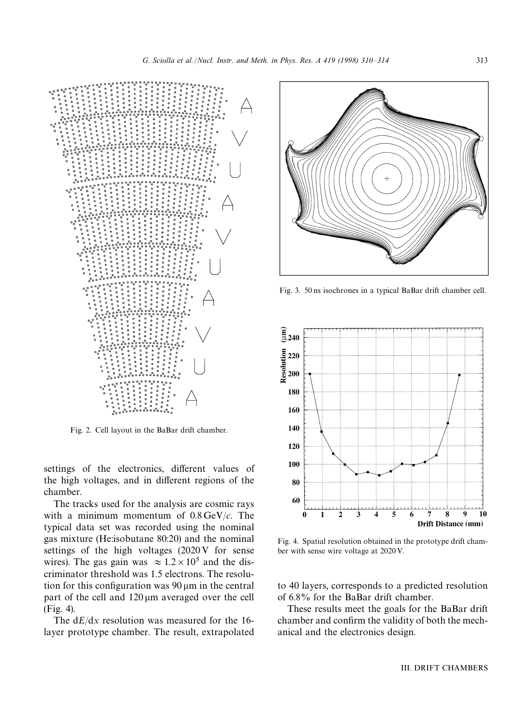

Fig. 2. Cell layout in the BaBar drift chamber.

settings of the electronics, different values of the high voltages, and in different regions of the chamber.

The tracks used for the analysis are cosmic rays with a minimum momentum of 0.8 GeV/*c*. The typical data set was recorded using the nominal gas mixture (He:isobutane 80:20) and the nominal settings of the high voltages (2020 V for sense wires). The gas gain was  $\approx 1.2 \times 10^5$  and the discriminator threshold was 1.5 electrons. The resolution for this configuration was  $90 \mu m$  in the central part of the cell and  $120 \mu m$  averaged over the cell (Fig. 4).

The d*E*/d*x* resolution was measured for the 16 layer prototype chamber. The result, extrapolated



Fig. 3. 50 ns isochrones in a typical BaBar drift chamber cell.



Fig. 4. Spatial resolution obtained in the prototype drift chamber with sense wire voltage at 2020 V.

to 40 layers, corresponds to a predicted resolution of 6.8% for the BaBar drift chamber.

These results meet the goals for the BaBar drift chamber and confirm the validity of both the mechanical and the electronics design.